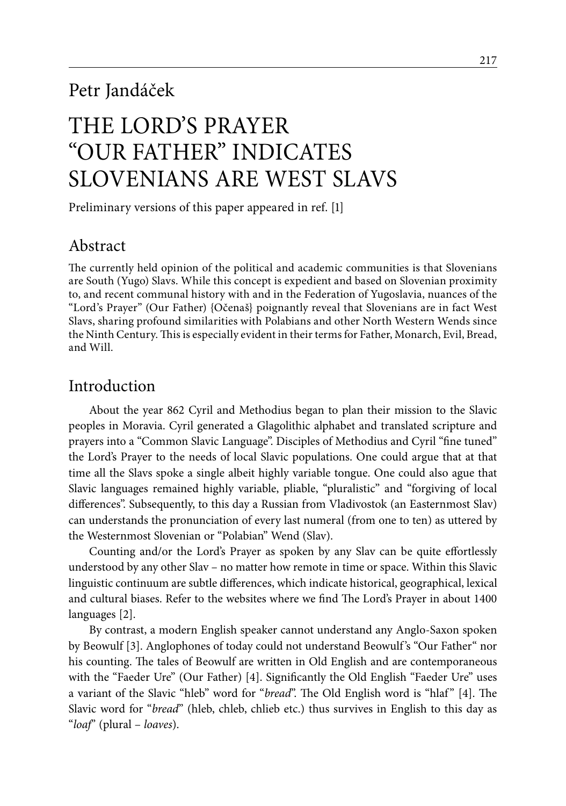# Petr Jandáček

# The Lord's Prayer "Our Father" indicates Slovenians are West Slavs

Preliminary versions of this paper appeared in ref. [1]

# Abstract

The currently held opinion of the political and academic communities is that Slovenians are South (Yugo) Slavs. While this concept is expedient and based on Slovenian proximity to, and recent communal history with and in the Federation of Yugoslavia, nuances of the "Lord's Prayer" (Our Father) {Očenaš} poignantly reveal that Slovenians are in fact West Slavs, sharing profound similarities with Polabians and other North Western Wends since the Ninth Century. This is especially evident in their terms for Father, Monarch, Evil, Bread, and Will.

### Introduction

About the year 862 Cyril and Methodius began to plan their mission to the Slavic peoples in Moravia. Cyril generated a Glagolithic alphabet and translated scripture and prayers into a "Common Slavic Language". Disciples of Methodius and Cyril "fine tuned" the Lord's Prayer to the needs of local Slavic populations. One could argue that at that time all the Slavs spoke a single albeit highly variable tongue. One could also ague that Slavic languages remained highly variable, pliable, "pluralistic" and "forgiving of local differences". Subsequently, to this day a Russian from Vladivostok (an Easternmost Slav) can understands the pronunciation of every last numeral (from one to ten) as uttered by the Westernmost Slovenian or "Polabian" Wend (Slav).

Counting and/or the Lord's Prayer as spoken by any Slav can be quite effortlessly understood by any other Slav – no matter how remote in time or space. Within this Slavic linguistic continuum are subtle differences, which indicate historical, geographical, lexical and cultural biases. Refer to the websites where we find The Lord's Prayer in about 1400 languages [2].

By contrast, a modern English speaker cannot understand any Anglo-Saxon spoken by Beowulf [3]. Anglophones of today could not understand Beowulf's "Our Father" nor his counting. The tales of Beowulf are written in Old English and are contemporaneous with the "Faeder Ure" (Our Father) [4]. Significantly the Old English "Faeder Ure" uses a variant of the Slavic "hleb" word for "*bread*". The Old English word is "hlaf" [4]. The Slavic word for "*bread*" (hleb, chleb, chlieb etc.) thus survives in English to this day as "*loaf*" (plural – *loaves*).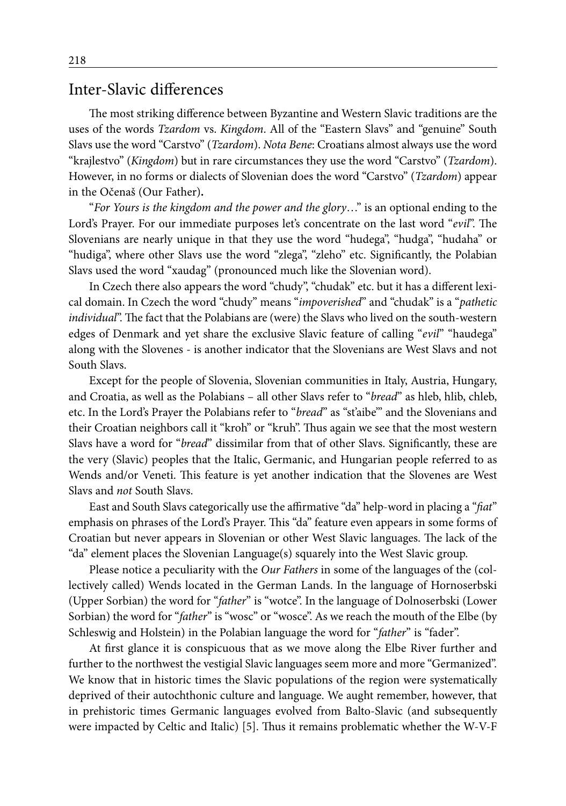#### Inter-Slavic differences

The most striking difference between Byzantine and Western Slavic traditions are the uses of the words *Tzardom* vs. *Kingdom*. All of the "Eastern Slavs" and "genuine" South Slavs use the word "Carstvo" (*Tzardom*). *Nota Bene*: Croatians almost always use the word "krajlestvo" (*Kingdom*) but in rare circumstances they use the word "Carstvo" (*Tzardom*). However, in no forms or dialects of Slovenian does the word "Carstvo" (*Tzardom*) appear in the Očenaš (Our Father)**.**

"*For Yours is the kingdom and the power and the glory*…" is an optional ending to the Lord's Prayer. For our immediate purposes let's concentrate on the last word "*evil*". The Slovenians are nearly unique in that they use the word "hudega", "hudga", "hudaha" or "hudiga", where other Slavs use the word "zlega", "zleho" etc. Significantly, the Polabian Slavs used the word "xaudag" (pronounced much like the Slovenian word).

In Czech there also appears the word "chudy", "chudak" etc. but it has a different lexical domain. In Czech the word "chudy" means "*impoverished*" and "chudak" is a "*pathetic individual*". The fact that the Polabians are (were) the Slavs who lived on the south-western edges of Denmark and yet share the exclusive Slavic feature of calling "*evil*" "haudega" along with the Slovenes - is another indicator that the Slovenians are West Slavs and not South Slavs.

Except for the people of Slovenia, Slovenian communities in Italy, Austria, Hungary, and Croatia, as well as the Polabians – all other Slavs refer to "*bread*" as hleb, hlib, chleb, etc. In the Lord's Prayer the Polabians refer to "*bread*" as "st'aibe'" and the Slovenians and their Croatian neighbors call it "kroh" or "kruh". Thus again we see that the most western Slavs have a word for "*bread*" dissimilar from that of other Slavs. Significantly, these are the very (Slavic) peoples that the Italic, Germanic, and Hungarian people referred to as Wends and/or Veneti. This feature is yet another indication that the Slovenes are West Slavs and *not* South Slavs.

East and South Slavs categorically use the affirmative "da" help-word in placing a "*fiat*" emphasis on phrases of the Lord's Prayer. This "da" feature even appears in some forms of Croatian but never appears in Slovenian or other West Slavic languages. The lack of the "da" element places the Slovenian Language(s) squarely into the West Slavic group.

Please notice a peculiarity with the *Our Fathers* in some of the languages of the (collectively called) Wends located in the German Lands. In the language of Hornoserbski (Upper Sorbian) the word for "*father*" is "wotce". In the language of Dolnoserbski (Lower Sorbian) the word for "*father*" is "wosc" or "wosce". As we reach the mouth of the Elbe (by Schleswig and Holstein) in the Polabian language the word for "*father*" is "fader".

At first glance it is conspicuous that as we move along the Elbe River further and further to the northwest the vestigial Slavic languages seem more and more "Germanized". We know that in historic times the Slavic populations of the region were systematically deprived of their autochthonic culture and language. We aught remember, however, that in prehistoric times Germanic languages evolved from Balto-Slavic (and subsequently were impacted by Celtic and Italic) [5]. Thus it remains problematic whether the W-V-F